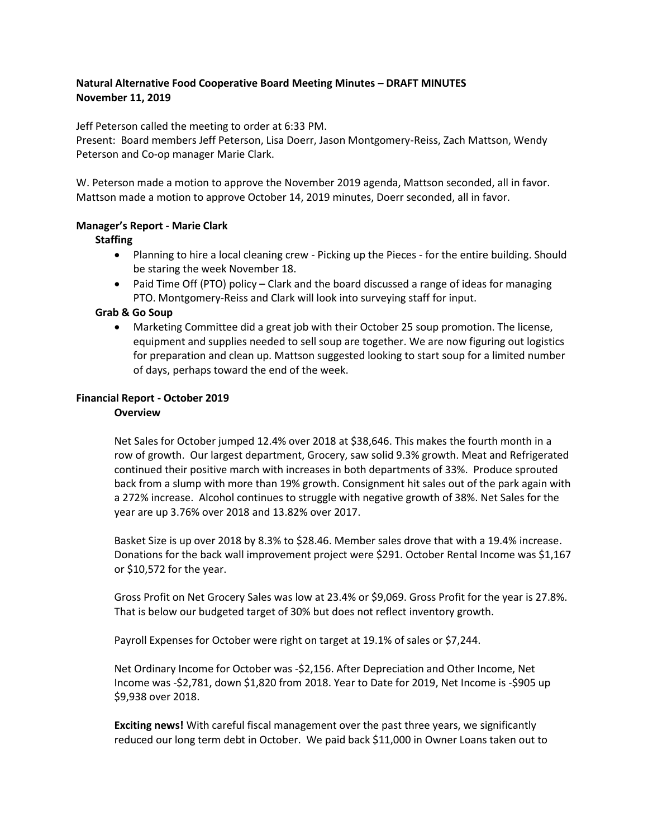## **Natural Alternative Food Cooperative Board Meeting Minutes – DRAFT MINUTES November 11, 2019**

Jeff Peterson called the meeting to order at 6:33 PM.

Present: Board members Jeff Peterson, Lisa Doerr, Jason Montgomery-Reiss, Zach Mattson, Wendy Peterson and Co-op manager Marie Clark.

W. Peterson made a motion to approve the November 2019 agenda, Mattson seconded, all in favor. Mattson made a motion to approve October 14, 2019 minutes, Doerr seconded, all in favor.

## **Manager's Report - Marie Clark**

## **Staffing**

- Planning to hire a local cleaning crew Picking up the Pieces for the entire building. Should be staring the week November 18.
- Paid Time Off (PTO) policy Clark and the board discussed a range of ideas for managing PTO. Montgomery-Reiss and Clark will look into surveying staff for input.

## **Grab & Go Soup**

 Marketing Committee did a great job with their October 25 soup promotion. The license, equipment and supplies needed to sell soup are together. We are now figuring out logistics for preparation and clean up. Mattson suggested looking to start soup for a limited number of days, perhaps toward the end of the week.

## **Financial Report - October 2019**

#### **Overview**

Net Sales for October jumped 12.4% over 2018 at \$38,646. This makes the fourth month in a row of growth. Our largest department, Grocery, saw solid 9.3% growth. Meat and Refrigerated continued their positive march with increases in both departments of 33%. Produce sprouted back from a slump with more than 19% growth. Consignment hit sales out of the park again with a 272% increase. Alcohol continues to struggle with negative growth of 38%. Net Sales for the year are up 3.76% over 2018 and 13.82% over 2017.

Basket Size is up over 2018 by 8.3% to \$28.46. Member sales drove that with a 19.4% increase. Donations for the back wall improvement project were \$291. October Rental Income was \$1,167 or \$10,572 for the year.

Gross Profit on Net Grocery Sales was low at 23.4% or \$9,069. Gross Profit for the year is 27.8%. That is below our budgeted target of 30% but does not reflect inventory growth.

Payroll Expenses for October were right on target at 19.1% of sales or \$7,244.

Net Ordinary Income for October was -\$2,156. After Depreciation and Other Income, Net Income was -\$2,781, down \$1,820 from 2018. Year to Date for 2019, Net Income is -\$905 up \$9,938 over 2018.

**Exciting news!** With careful fiscal management over the past three years, we significantly reduced our long term debt in October. We paid back \$11,000 in Owner Loans taken out to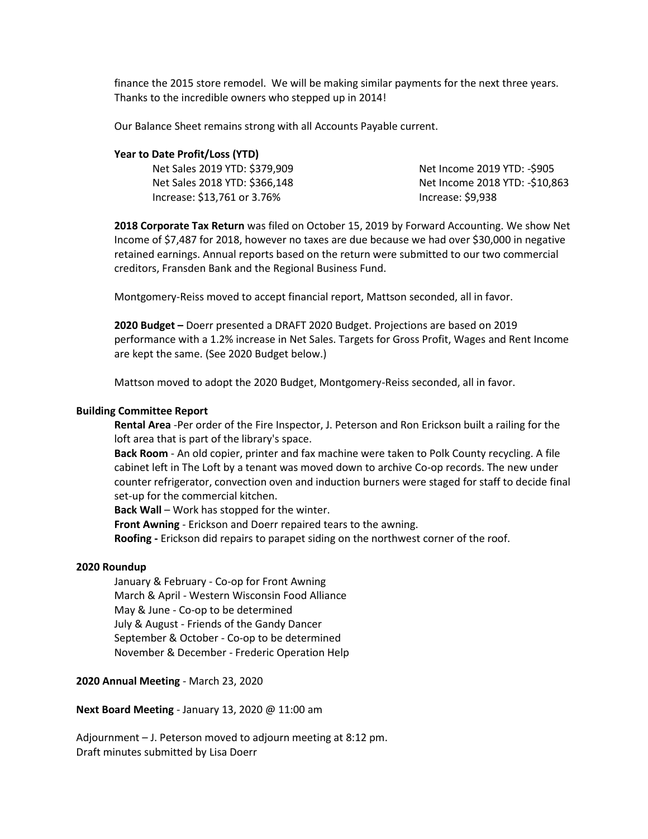finance the 2015 store remodel. We will be making similar payments for the next three years. Thanks to the incredible owners who stepped up in 2014!

Our Balance Sheet remains strong with all Accounts Payable current.

#### **Year to Date Profit/Loss (YTD)**

Net Sales 2019 YTD: \$379,909 Net Sales 2018 YTD: \$366,148 Increase: \$13,761 or 3.76%

Net Income 2019 YTD: -\$905 Net Income 2018 YTD: -\$10,863 Increase: \$9,938

**2018 Corporate Tax Return** was filed on October 15, 2019 by Forward Accounting. We show Net Income of \$7,487 for 2018, however no taxes are due because we had over \$30,000 in negative retained earnings. Annual reports based on the return were submitted to our two commercial creditors, Fransden Bank and the Regional Business Fund.

Montgomery-Reiss moved to accept financial report, Mattson seconded, all in favor.

**2020 Budget –** Doerr presented a DRAFT 2020 Budget. Projections are based on 2019 performance with a 1.2% increase in Net Sales. Targets for Gross Profit, Wages and Rent Income are kept the same. (See 2020 Budget below.)

Mattson moved to adopt the 2020 Budget, Montgomery-Reiss seconded, all in favor.

#### **Building Committee Report**

**Rental Area** -Per order of the Fire Inspector, J. Peterson and Ron Erickson built a railing for the loft area that is part of the library's space.

**Back Room** - An old copier, printer and fax machine were taken to Polk County recycling. A file cabinet left in The Loft by a tenant was moved down to archive Co-op records. The new under counter refrigerator, convection oven and induction burners were staged for staff to decide final set-up for the commercial kitchen.

**Back Wall** – Work has stopped for the winter.

**Front Awning** - Erickson and Doerr repaired tears to the awning.

**Roofing -** Erickson did repairs to parapet siding on the northwest corner of the roof.

#### **2020 Roundup**

January & February - Co-op for Front Awning March & April - Western Wisconsin Food Alliance May & June - Co-op to be determined July & August - Friends of the Gandy Dancer September & October - Co-op to be determined November & December - Frederic Operation Help

#### **2020 Annual Meeting** - March 23, 2020

**Next Board Meeting** - January 13, 2020 @ 11:00 am

Adjournment – J. Peterson moved to adjourn meeting at 8:12 pm. Draft minutes submitted by Lisa Doerr